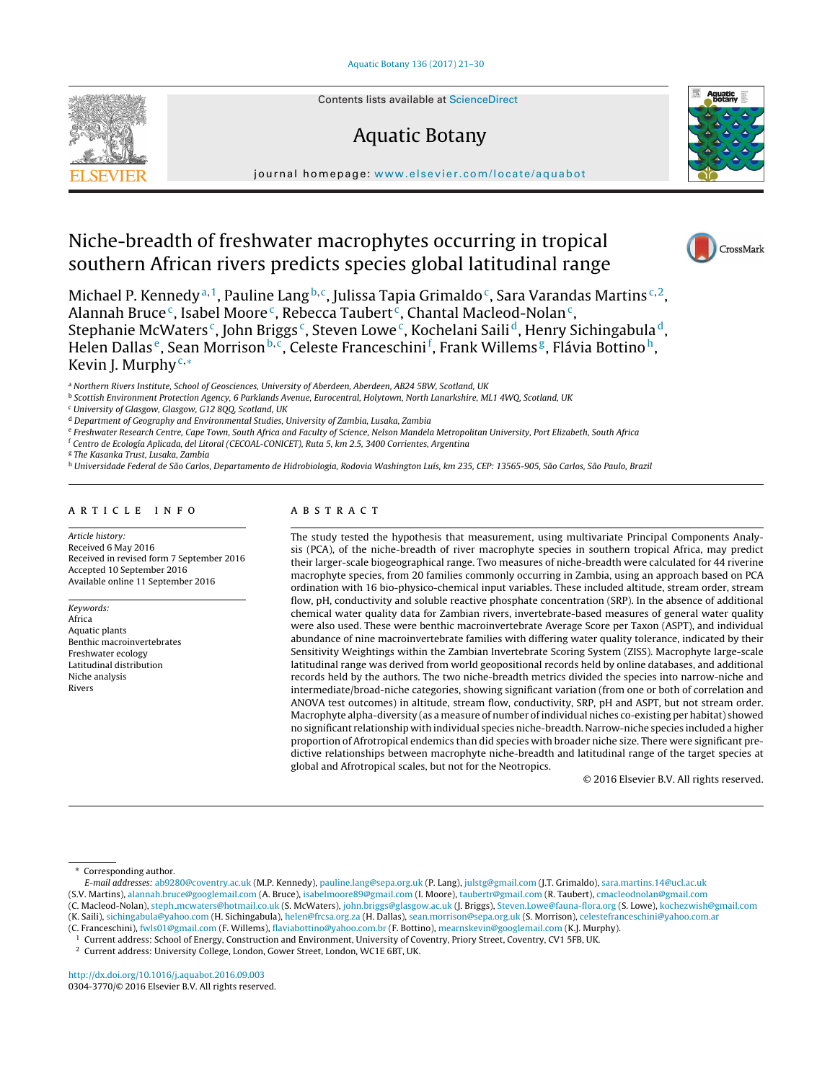Contents lists available at [ScienceDirect](http://www.sciencedirect.com/science/journal/03043770)

# Aquatic Botany



CrossMark

journal homepage: www.elsevier.com/locate/aquabot

# Niche-breadth of freshwater macrophytes occurring in tropical southern African rivers predicts species global latitudinal range

Michael P. Kennedy<sup>a, 1</sup>, Pauline Lang<sup>b, c</sup>, Julissa Tapia Grimaldo <sup>c</sup>, Sara Varandas Martins <sup>c, 2</sup>, Alannah Bruce<sup>c</sup>, Isabel Moore<sup>c</sup>, Rebecca Taubert<sup>c</sup>, Chantal Macleod-Nolan<sup>c</sup>, Stephanie McWaters<sup>c</sup>, John Briggs<sup>c</sup>, Steven Lowe<sup>c</sup>, Kochelani Saili<sup>d</sup>, Henry Sichingabula<sup>d</sup>, Helen Dallas<sup>e</sup>, Sean Morrison<sup>b,c</sup>, Celeste Franceschini<sup>f</sup>, Frank Willems<sup>g</sup>, Flávia Bottino<sup>h</sup>, Kevin J. Murphy<sup>c,\*</sup>

a Northern Rivers Institute, School of Geosciences, University of Aberdeen, Aberdeen, AB24 5BW, Scotland, UK

<sup>b</sup> Scottish Environment Protection Agency, 6 Parklands Avenue, Eurocentral, Holytown, North Lanarkshire, ML1 4WQ, Scotland, UK

<sup>c</sup> University of Glasgow, Glasgow, G12 8QQ, Scotland, UK

<sup>d</sup> Department of Geography and Environmental Studies, University of Zambia, Lusaka, Zambia

<sup>e</sup> Freshwater Research Centre, Cape Town, South Africa and Faculty of Science, Nelson Mandela Metropolitan University, Port Elizabeth, South Africa

<sup>f</sup> Centro de Ecología Aplicada, del Litoral (CECOAL-CONICET), Ruta 5, km 2.5, 3400 Corrientes, Argentina

<sup>g</sup> The Kasanka Trust, Lusaka, Zambia

<sup>h</sup> Universidade Federal de São Carlos, Departamento de Hidrobiologia, Rodovia Washington Luís, km 235, CEP: 13565-905, São Carlos, São Paulo, Brazil

# ARTICLE INFO

Article history: Received 6 May 2016 Received in revised form 7 September 2016 Accepted 10 September 2016 Available online 11 September 2016

Keywords: Africa Aquatic plants Benthic macroinvertebrates Freshwater ecology Latitudinal distribution Niche analysis Rivers

# A B S T R A C T

The study tested the hypothesis that measurement, using multivariate Principal Components Analysis (PCA), of the niche-breadth of river macrophyte species in southern tropical Africa, may predict their larger-scale biogeographical range. Two measures of niche-breadth were calculated for 44 riverine macrophyte species, from 20 families commonly occurring in Zambia, using an approach based on PCA ordination with 16 bio-physico-chemical input variables. These included altitude, stream order, stream flow, pH, conductivity and soluble reactive phosphate concentration (SRP). In the absence of additional chemical water quality data for Zambian rivers, invertebrate-based measures of general water quality were also used. These were benthic macroinvertebrate Average Score per Taxon (ASPT), and individual abundance of nine macroinvertebrate families with differing water quality tolerance, indicated by their Sensitivity Weightings within the Zambian Invertebrate Scoring System (ZISS). Macrophyte large-scale latitudinal range was derived from world geopositional records held by online databases, and additional records held by the authors. The two niche-breadth metrics divided the species into narrow-niche and intermediate/broad-niche categories, showing significant variation (from one or both of correlation and ANOVA test outcomes) in altitude, stream flow, conductivity, SRP, pH and ASPT, but not stream order. Macrophyte alpha-diversity (as a measure of number of individual niches co-existing per habitat) showed no significant relationship with individual species niche-breadth. Narrow-niche species included a higher proportion of Afrotropical endemics than did species with broader niche size. There were significant predictive relationships between macrophyte niche-breadth and latitudinal range of the target species at global and Afrotropical scales, but not for the Neotropics.

© 2016 Elsevier B.V. All rights reserved.

(S.V. Martins), [alannah.bruce@googlemail.com](mailto:alannah.bruce@googlemail.com) (A. Bruce), [isabelmoore89@gmail.com](mailto:isabelmoore89@gmail.com) (I. Moore), [taubertr@gmail.com](mailto:taubertr@gmail.com) (R. Taubert), [cmacleodnolan@gmail.com](mailto:cmacleodnolan@gmail.com)

(C. Franceschini), [fwls01@gmail.com](mailto:fwls01@gmail.com) (F. Willems), [flaviabottino@yahoo.com.br](mailto:flaviabottino@yahoo.com.br) (F. Bottino), [mearnskevin@googlemail.com](mailto:mearnskevin@googlemail.com) (K.J. Murphy).

<sup>2</sup> Current address: University College, London, Gower Street, London, WC1E 6BT, UK.

[http://dx.doi.org/10.1016/j.aquabot.2016.09.003](dx.doi.org/10.1016/j.aquabot.2016.09.003) 0304-3770/© 2016 Elsevier B.V. All rights reserved.



Corresponding author.

E-mail addresses: [ab9280@coventry.ac.uk](mailto:ab9280@coventry.ac.uk) (M.P. Kennedy), [pauline.lang@sepa.org.uk](mailto:pauline.lang@sepa.org.uk) (P. Lang), [julstg@gmail.com](mailto:julstg@gmail.com) (J.T. Grimaldo), [sara.martins.14@ucl.ac.uk](mailto:sara.martins.14@ucl.ac.uk)

<sup>(</sup>C. Macleod-Nolan), steph [mcwaters@hotmail.co.uk](mailto:steph_mcwaters@hotmail.co.uk) (S. McWaters), [john.briggs@glasgow.ac.uk](mailto:john.briggs@glasgow.ac.uk) (J. Briggs), [Steven.Lowe@fauna-flora.org](mailto:Steven.Lowe@fauna-flora.org) (S. Lowe), [kochezwish@gmail.com](mailto:kochezwish@gmail.com) (K. Saili), [sichingabula@yahoo.com](mailto:sichingabula@yahoo.com) (H. Sichingabula), [helen@frcsa.org.za](mailto:helen@frcsa.org.za) (H. Dallas), [sean.morrison@sepa.org.uk](mailto:sean.morrison@sepa.org.uk) (S. Morrison), [celestefranceschini@yahoo.com.ar](mailto:celestefranceschini@yahoo.com.ar)

<sup>1</sup> Current address: School of Energy, Construction and Environment, University of Coventry, Priory Street, Coventry, CV1 5FB, UK.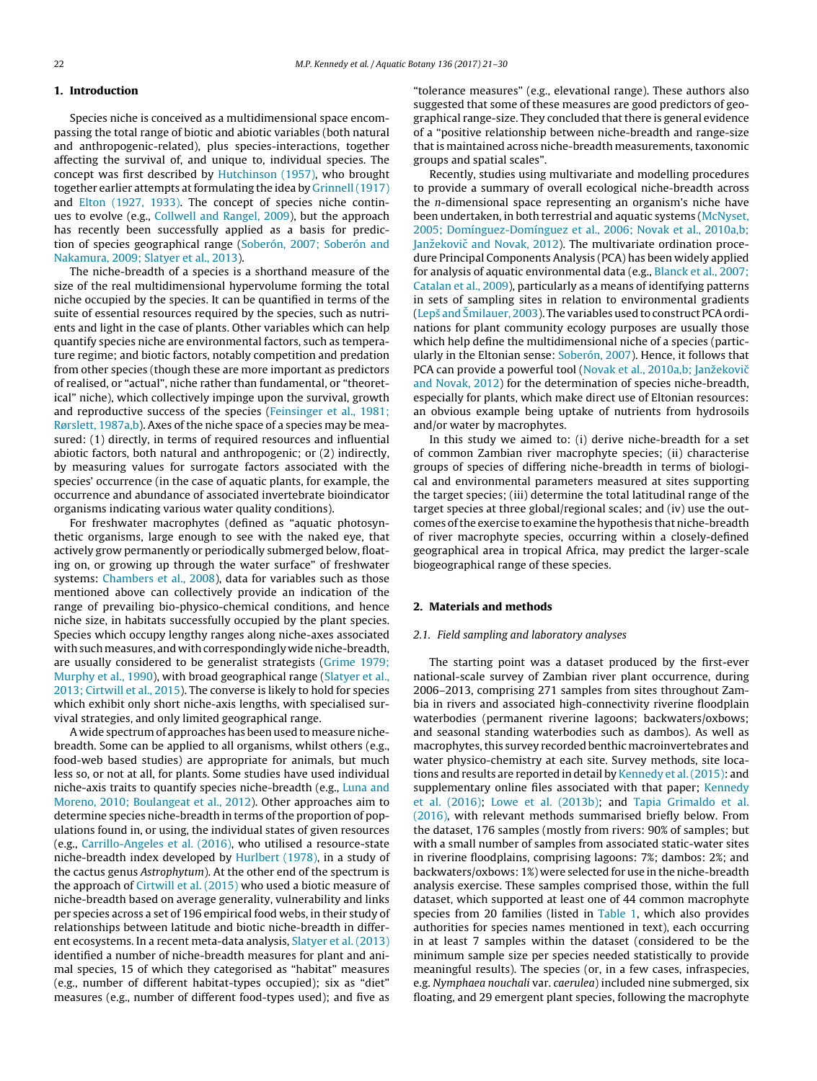# 1. Introduction

Species niche is conceived as a multidimensional space encompassing the total range of biotic and abiotic variables (both natural and anthropogenic-related), plus species-interactions, together affecting the survival of, and unique to, individual species. The concept was first described by [Hutchinson \(1957\), w](#page-8-0)ho brought together earlier attempts at formulating the idea by [Grinnell \(1917\)](#page-8-0) and [Elton \(1927, 1933\).](#page-8-0) The concept of species niche continues to evolve (e.g., [Collwell and Rangel, 2009\),](#page-8-0) but the approach has recently been successfully applied as a basis for prediction of species geographical range ([Soberón, 2007; Soberón and](#page-9-0) [Nakamura, 2009; Slatyer et al., 2013\).](#page-9-0)

The niche-breadth of a species is a shorthand measure of the size of the real multidimensional hypervolume forming the total niche occupied by the species. It can be quantified in terms of the suite of essential resources required by the species, such as nutrients and light in the case of plants. Other variables which can help quantify species niche are environmental factors, such as temperature regime; and biotic factors, notably competition and predation from other species (though these are more important as predictors of realised, or "actual", niche rather than fundamental, or "theoretical" niche), which collectively impinge upon the survival, growth and reproductive success of the species ([Feinsinger et al., 1981;](#page-8-0) Rørslett, 1987a, b). Axes of the niche space of a species may be measured: (1) directly, in terms of required resources and influential abiotic factors, both natural and anthropogenic; or (2) indirectly, by measuring values for surrogate factors associated with the species' occurrence (in the case of aquatic plants, for example, the occurrence and abundance of associated invertebrate bioindicator organisms indicating various water quality conditions).

For freshwater macrophytes (defined as "aquatic photosynthetic organisms, large enough to see with the naked eye, that actively grow permanently or periodically submerged below, floating on, or growing up through the water surface" of freshwater systems: [Chambers et al., 2008\),](#page-8-0) data for variables such as those mentioned above can collectively provide an indication of the range of prevailing bio-physico-chemical conditions, and hence niche size, in habitats successfully occupied by the plant species. Species which occupy lengthy ranges along niche-axes associated with such measures, and with correspondingly wide niche-breadth, are usually considered to be generalist strategists [\(Grime 1979;](#page-8-0) [Murphy et al., 1990\),](#page-8-0) with broad geographical range ([Slatyer et al.,](#page-9-0) [2013; Cirtwill et al., 2015\).](#page-9-0) The converse is likely to hold for species which exhibit only short niche-axis lengths, with specialised survival strategies, and only limited geographical range.

A wide spectrum of approaches has been used to measure nichebreadth. Some can be applied to all organisms, whilst others (e.g., food-web based studies) are appropriate for animals, but much less so, or not at all, for plants. Some studies have used individual niche-axis traits to quantify species niche-breadth (e.g., [Luna and](#page-8-0) [Moreno, 2010; Boulangeat et al., 2012\).](#page-8-0) Other approaches aim to determine species niche-breadth in terms of the proportion of populations found in, or using, the individual states of given resources (e.g., [Carrillo-Angeles et al. \(2016\), w](#page-8-0)ho utilised a resource-state niche-breadth index developed by [Hurlbert \(1978\),](#page-8-0) in a study of the cactus genus Astrophytum). At the other end of the spectrum is the approach of [Cirtwill et al. \(2015\)](#page-8-0) who used a biotic measure of niche-breadth based on average generality, vulnerability and links per species across a set of 196 empirical food webs, in their study of relationships between latitude and biotic niche-breadth in different ecosystems. In a recent meta-data analysis, [Slatyer et al. \(2013\)](#page-9-0) identified a number of niche-breadth measures for plant and animal species, 15 of which they categorised as "habitat" measures (e.g., number of different habitat-types occupied); six as "diet" measures (e.g., number of different food-types used); and five as

"tolerance measures" (e.g., elevational range). These authors also suggested that some of these measures are good predictors of geographical range-size. They concluded that there is general evidence of a "positive relationship between niche-breadth and range-size that is maintained across niche-breadth measurements, taxonomic groups and spatial scales".

Recently, studies using multivariate and modelling procedures to provide a summary of overall ecological niche-breadth across the n-dimensional space representing an organism's niche have been undertaken, in both terrestrial and aquatic systems ([McNyset,](#page-8-0) [2005; Domínguez-Domínguez et al., 2006; Novak et al., 2010a,b;](#page-8-0) Janžekovič [and Novak, 2012](#page-8-0)). The multivariate ordination procedure Principal Components Analysis (PCA) has been widely applied for analysis of aquatic environmental data (e.g., [Blanck et al., 2007;](#page-8-0) [Catalan et al., 2009\),](#page-8-0) particularly as a means of identifying patterns in sets of sampling sites in relation to environmental gradients (Lepš and Šmilauer, 2003). The variables used to construct PCA ordinations for plant community ecology purposes are usually those which help define the multidimensional niche of a species (particularly in the Eltonian sense: [Soberón, 2007\).](#page-9-0) Hence, it follows that PCA can provide a powerful tool (Novak et al., 2010a,b; Janžekovič [and Novak, 2012\)](#page-8-0) for the determination of species niche-breadth, especially for plants, which make direct use of Eltonian resources: an obvious example being uptake of nutrients from hydrosoils and/or water by macrophytes.

In this study we aimed to: (i) derive niche-breadth for a set of common Zambian river macrophyte species; (ii) characterise groups of species of differing niche-breadth in terms of biological and environmental parameters measured at sites supporting the target species; (iii) determine the total latitudinal range of the target species at three global/regional scales; and (iv) use the outcomes of the exercise to examine the hypothesis that niche-breadth of river macrophyte species, occurring within a closely-defined geographical area in tropical Africa, may predict the larger-scale biogeographical range of these species.

# 2. Materials and methods

# 2.1. Field sampling and laboratory analyses

The starting point was a dataset produced by the first-ever national-scale survey of Zambian river plant occurrence, during 2006–2013, comprising 271 samples from sites throughout Zambia in rivers and associated high-connectivity riverine floodplain waterbodies (permanent riverine lagoons; backwaters/oxbows; and seasonal standing waterbodies such as dambos). As well as macrophytes, this survey recorded benthic macroinvertebrates and water physico-chemistry at each site. Survey methods, site locations and results are reported in detail by [Kennedy et al. \(2015\): a](#page-8-0)nd supplementary online files associated with that paper; [Kennedy](#page-8-0) [et al. \(2016\);](#page-8-0) [Lowe et al. \(2013b\);](#page-8-0) and [Tapia Grimaldo et al.](#page-9-0) [\(2016\),](#page-9-0) with relevant methods summarised briefly below. From the dataset, 176 samples (mostly from rivers: 90% of samples; but with a small number of samples from associated static-water sites in riverine floodplains, comprising lagoons: 7%; dambos: 2%; and backwaters/oxbows: 1%) were selected for use in the niche-breadth analysis exercise. These samples comprised those, within the full dataset, which supported at least one of 44 common macrophyte species from 20 families (listed in [Table 1,](#page-2-0) which also provides authorities for species names mentioned in text), each occurring in at least 7 samples within the dataset (considered to be the minimum sample size per species needed statistically to provide meaningful results). The species (or, in a few cases, infraspecies, e.g. Nymphaea nouchali var. caerulea) included nine submerged, six floating, and 29 emergent plant species, following the macrophyte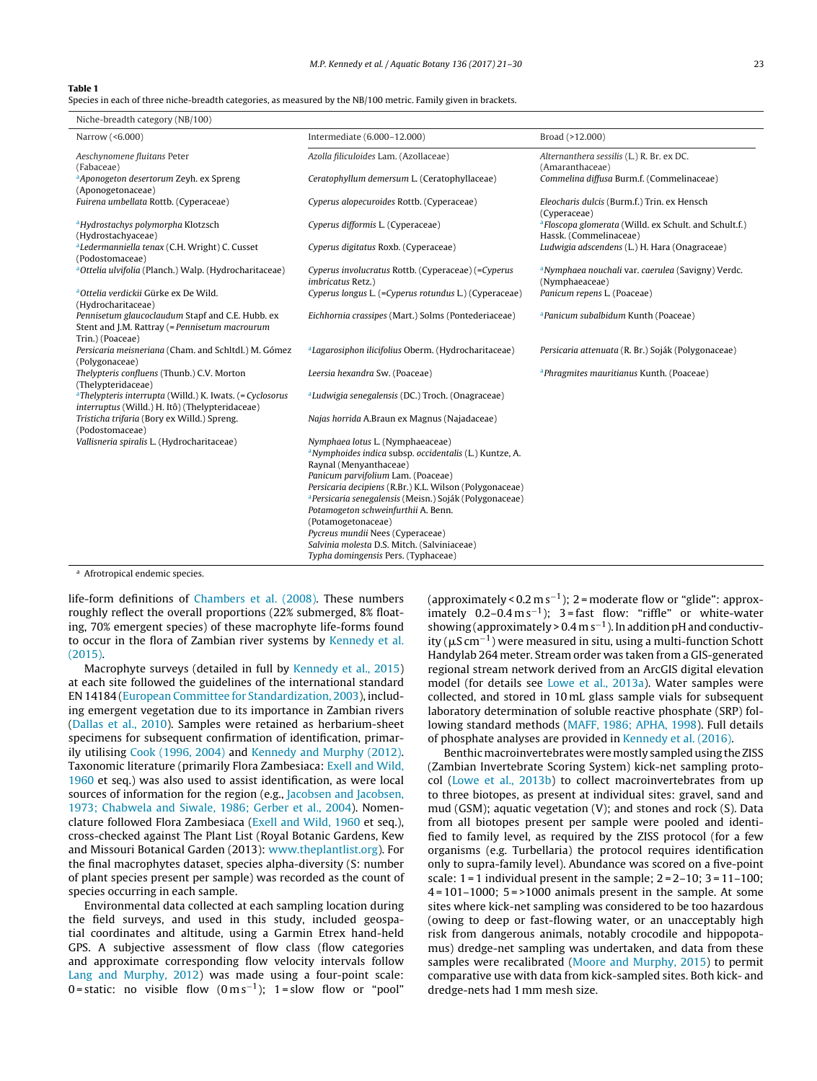## <span id="page-2-0"></span>Table 1

Species in each of three niche-breadth categories, as measured by the NB/100 metric. Family given in brackets.

| Niche-breadth category (NB/100)                                                                                         |                                                                                                                                                                                                                                                                                                                                                                                                                                                                                                |                                                                                              |
|-------------------------------------------------------------------------------------------------------------------------|------------------------------------------------------------------------------------------------------------------------------------------------------------------------------------------------------------------------------------------------------------------------------------------------------------------------------------------------------------------------------------------------------------------------------------------------------------------------------------------------|----------------------------------------------------------------------------------------------|
| Narrow (<6.000)                                                                                                         | Intermediate (6.000-12.000)                                                                                                                                                                                                                                                                                                                                                                                                                                                                    | Broad (>12,000)                                                                              |
| Aeschynomene fluitans Peter<br>(Fabaceae)                                                                               | Azolla filiculoides Lam. (Azollaceae)                                                                                                                                                                                                                                                                                                                                                                                                                                                          | Alternanthera sessilis (L.) R. Br. ex DC.<br>(Amaranthaceae)                                 |
| a Aponogeton desertorum Zeyh. ex Spreng<br>(Aponogetonaceae)                                                            | Ceratophyllum demersum L. (Ceratophyllaceae)                                                                                                                                                                                                                                                                                                                                                                                                                                                   | Commelina diffusa Burm.f. (Commelinaceae)                                                    |
| Fuirena umbellata Rottb. (Cyperaceae)                                                                                   | Cyperus alopecuroides Rottb. (Cyperaceae)                                                                                                                                                                                                                                                                                                                                                                                                                                                      | Eleocharis dulcis (Burm.f.) Trin. ex Hensch<br>(Cyperaceae)                                  |
| <sup>a</sup> Hydrostachys polymorpha Klotzsch<br>(Hydrostachyaceae)                                                     | Cyperus difformis L. (Cyperaceae)                                                                                                                                                                                                                                                                                                                                                                                                                                                              | <sup>a</sup> Floscopa glomerata (Willd, ex Schult, and Schult, f.)<br>Hassk. (Commelinaceae) |
| <sup>a</sup> Ledermanniella tenax (C.H. Wright) C. Cusset<br>(Podostomaceae)                                            | Cyperus digitatus Roxb. (Cyperaceae)                                                                                                                                                                                                                                                                                                                                                                                                                                                           | Ludwigia adscendens (L.) H. Hara (Onagraceae)                                                |
| <sup>a</sup> Ottelia ulvifolia (Planch.) Walp. (Hydrocharitaceae)                                                       | Cyperus involucratus Rottb. (Cyperaceae) (=Cyperus<br><i>imbricatus Retz.)</i>                                                                                                                                                                                                                                                                                                                                                                                                                 | <sup>a</sup> Nymphaea nouchali var. caerulea (Savigny) Verdc.<br>(Nymphaeaceae)              |
| <sup>a</sup> Ottelia verdickii Gürke ex De Wild.<br>(Hydrocharitaceae)                                                  | Cyperus longus L. (=Cyperus rotundus L.) (Cyperaceae)                                                                                                                                                                                                                                                                                                                                                                                                                                          | Panicum repens L. (Poaceae)                                                                  |
| Pennisetum glaucoclaudum Stapf and C.E. Hubb. ex<br>Stent and J.M. Rattray (= Pennisetum macrourum<br>Trin.) (Poaceae)  | Eichhornia crassipes (Mart.) Solms (Pontederiaceae)                                                                                                                                                                                                                                                                                                                                                                                                                                            | a Panicum subalbidum Kunth (Poaceae)                                                         |
| Persicaria meisneriana (Cham. and Schltdl.) M. Gómez<br>(Polygonaceae)                                                  | <sup>a</sup> Lagarosiphon ilicifolius Oberm. (Hydrocharitaceae)                                                                                                                                                                                                                                                                                                                                                                                                                                | Persicaria attenuata (R. Br.) Soják (Polygonaceae)                                           |
| Thelypteris confluens (Thunb.) C.V. Morton<br>(Thelypteridaceae)                                                        | Leersia hexandra Sw. (Poaceae)                                                                                                                                                                                                                                                                                                                                                                                                                                                                 | <sup>a</sup> Phragmites mauritianus Kunth. (Poaceae)                                         |
| <sup>a</sup> Thelypteris interrupta (Willd.) K. Iwats. (= Cyclosorus<br>interruptus (Willd.) H. Itô) (Thelypteridaceae) | <sup>a</sup> Ludwigia senegalensis (DC.) Troch. (Onagraceae)                                                                                                                                                                                                                                                                                                                                                                                                                                   |                                                                                              |
| Tristicha trifaria (Bory ex Willd.) Spreng.<br>(Podostomaceae)                                                          | Najas horrida A.Braun ex Magnus (Najadaceae)                                                                                                                                                                                                                                                                                                                                                                                                                                                   |                                                                                              |
| Vallisneria spiralis L. (Hydrocharitaceae)                                                                              | Nymphaea lotus L. (Nymphaeaceae)<br><sup>a</sup> Nymphoides indica subsp. occidentalis (L.) Kuntze, A.<br>Raynal (Menyanthaceae)<br>Panicum parvifolium Lam. (Poaceae)<br>Persicaria decipiens (R.Br.) K.L. Wilson (Polygonaceae)<br><sup>a</sup> Persicaria senegalensis (Meisn.) Soják (Polygonaceae)<br>Potamogeton schweinfurthii A. Benn.<br>(Potamogetonaceae)<br>Pycreus mundii Nees (Cyperaceae)<br>Salvinia molesta D.S. Mitch. (Salviniaceae)<br>Typha domingensis Pers. (Typhaceae) |                                                                                              |

<sup>a</sup> Afrotropical endemic species.

life-form definitions of [Chambers et al. \(2008\).](#page-8-0) These numbers roughly reflect the overall proportions (22% submerged, 8% floating, 70% emergent species) of these macrophyte life-forms found to occur in the flora of Zambian river systems by [Kennedy et al.](#page-8-0) [\(2015\).](#page-8-0)

Macrophyte surveys (detailed in full by [Kennedy et al., 2015\)](#page-8-0) at each site followed the guidelines of the international standard EN 14184 [\(European Committee for Standardization, 2003\),](#page-8-0) including emergent vegetation due to its importance in Zambian rivers ([Dallas et al., 2010\).](#page-8-0) Samples were retained as herbarium-sheet specimens for subsequent confirmation of identification, primarily utilising [Cook \(1996, 2004\)](#page-8-0) and [Kennedy and Murphy \(2012\).](#page-8-0) Taxonomic literature (primarily Flora Zambesiaca: [Exell and Wild,](#page-8-0) [1960](#page-8-0) et seq.) was also used to assist identification, as were local sources of information for the region (e.g., [Jacobsen and Jacobsen,](#page-8-0) [1973; Chabwela and Siwale, 1986; Gerber et al., 2004\).](#page-8-0) Nomenclature followed Flora Zambesiaca ([Exell and Wild, 1960](#page-8-0) et seq.), cross-checked against The Plant List (Royal Botanic Gardens, Kew and Missouri Botanical Garden (2013): [www.theplantlist.org\)](http://www.theplantlist.org). For the final macrophytes dataset, species alpha-diversity (S: number of plant species present per sample) was recorded as the count of species occurring in each sample.

Environmental data collected at each sampling location during the field surveys, and used in this study, included geospatial coordinates and altitude, using a Garmin Etrex hand-held GPS. A subjective assessment of flow class (flow categories and approximate corresponding flow velocity intervals follow [Lang and Murphy, 2012\)](#page-8-0) was made using a four-point scale:  $0 =$ static: no visible flow  $(0 \text{ m s}^{-1})$ ; 1 = slow flow or "pool"

(approximately <  $0.2$  m s<sup>-1</sup>); 2 = moderate flow or "glide": approximately  $0.2 - 0.4 \text{ m s}^{-1}$ ;  $3 =$  fast flow: "riffle" or white-water showing (approximately >  $0.4$  m s<sup>-1</sup>). In addition pH and conductivity ( $\mu$ S cm<sup>-1</sup>) were measured in situ, using a multi-function Schott Handylab 264 meter. Stream order was taken from a GIS-generated regional stream network derived from an ArcGIS digital elevation model (for details see [Lowe et al., 2013a\).](#page-8-0) Water samples were collected, and stored in 10 mL glass sample vials for subsequent laboratory determination of soluble reactive phosphate (SRP) following standard methods ([MAFF, 1986; APHA, 1998\).](#page-8-0) Full details of phosphate analyses are provided in [Kennedy et al. \(2016\).](#page-8-0)

Benthic macroinvertebrates were mostly sampled using the ZISS (Zambian Invertebrate Scoring System) kick-net sampling protocol [\(Lowe et al., 2013b\)](#page-8-0) to collect macroinvertebrates from up to three biotopes, as present at individual sites: gravel, sand and mud (GSM); aquatic vegetation (V); and stones and rock (S). Data from all biotopes present per sample were pooled and identified to family level, as required by the ZISS protocol (for a few organisms (e.g. Turbellaria) the protocol requires identification only to supra-family level). Abundance was scored on a five-point scale:  $1 = 1$  individual present in the sample;  $2 = 2-10$ ;  $3 = 11-100$ ;  $4 = 101 - 1000$ ;  $5 = >1000$  animals present in the sample. At some sites where kick-net sampling was considered to be too hazardous (owing to deep or fast-flowing water, or an unacceptably high risk from dangerous animals, notably crocodile and hippopotamus) dredge-net sampling was undertaken, and data from these samples were recalibrated ([Moore and Murphy, 2015\)](#page-8-0) to permit comparative use with data from kick-sampled sites. Both kick- and dredge-nets had 1 mm mesh size.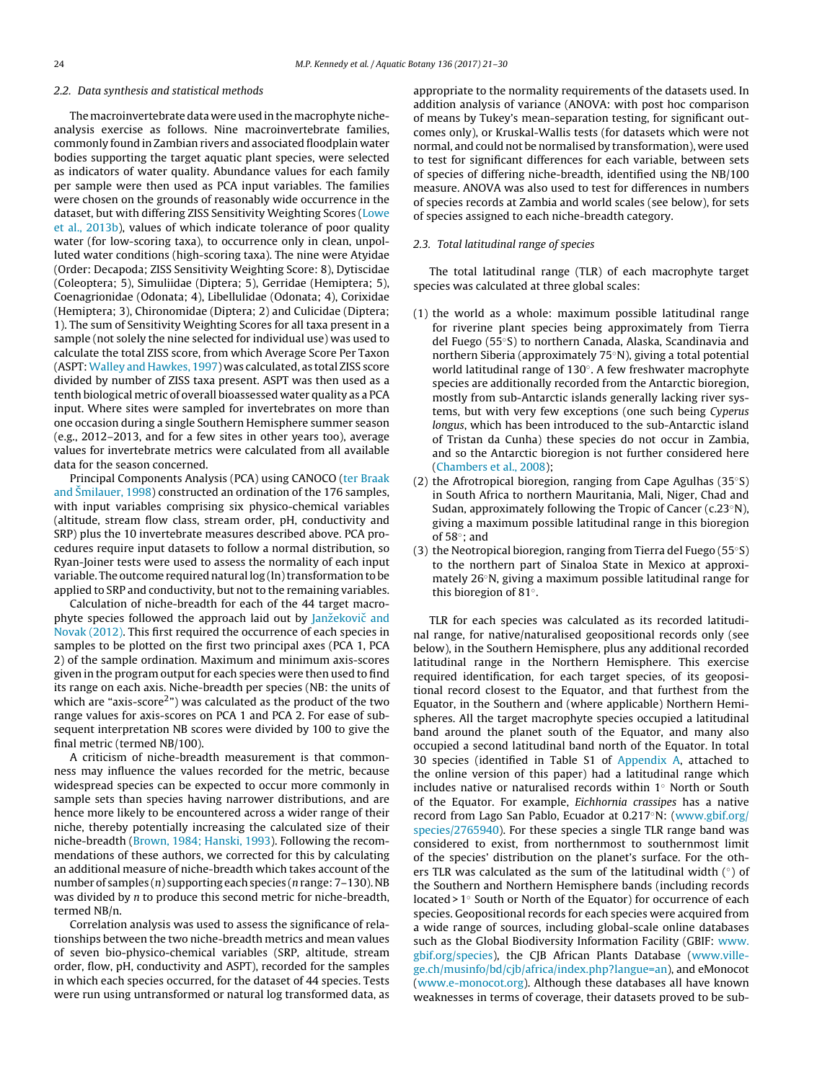### 2.2. Data synthesis and statistical methods

The macroinvertebrate data were used in the macrophyte nicheanalysis exercise as follows. Nine macroinvertebrate families, commonly found in Zambian rivers and associated floodplain water bodies supporting the target aquatic plant species, were selected as indicators of water quality. Abundance values for each family per sample were then used as PCA input variables. The families were chosen on the grounds of reasonably wide occurrence in the dataset, but with differing ZISS Sensitivity Weighting Scores [\(Lowe](#page-8-0) [et al., 2013b\),](#page-8-0) values of which indicate tolerance of poor quality water (for low-scoring taxa), to occurrence only in clean, unpolluted water conditions (high-scoring taxa). The nine were Atyidae (Order: Decapoda; ZISS Sensitivity Weighting Score: 8), Dytiscidae (Coleoptera; 5), Simuliidae (Diptera; 5), Gerridae (Hemiptera; 5), Coenagrionidae (Odonata; 4), Libellulidae (Odonata; 4), Corixidae (Hemiptera; 3), Chironomidae (Diptera; 2) and Culicidae (Diptera; 1). The sum of Sensitivity Weighting Scores for all taxa present in a sample (not solely the nine selected for individual use) was used to calculate the total ZISS score, from which Average Score Per Taxon (ASPT: [Walley and Hawkes, 1997\) w](#page-9-0)as calculated, as total ZISS score divided by number of ZISS taxa present. ASPT was then used as a tenth biological metric of overall bioassessed water quality as a PCA input. Where sites were sampled for invertebrates on more than one occasion during a single Southern Hemisphere summer season (e.g., 2012–2013, and for a few sites in other years too), average values for invertebrate metrics were calculated from all available data for the season concerned.

Principal Components Analysis (PCA) using CANOCO ([ter Braak](#page-9-0) [and](#page-9-0) Šmilauer, 1998) constructed an ordination of the 176 samples, with input variables comprising six physico-chemical variables (altitude, stream flow class, stream order, pH, conductivity and SRP) plus the 10 invertebrate measures described above. PCA procedures require input datasets to follow a normal distribution, so Ryan-Joiner tests were used to assess the normality of each input variable. The outcome required natural log (ln) transformation to be applied to SRP and conductivity, but not to the remaining variables.

Calculation of niche-breadth for each of the 44 target macrophyte species followed the approach laid out by Janžekovič [and](#page-8-0) [Novak \(2012\). T](#page-8-0)his first required the occurrence of each species in samples to be plotted on the first two principal axes (PCA 1, PCA 2) of the sample ordination. Maximum and minimum axis-scores given in the program output for each species were then used to find its range on each axis. Niche-breadth per species (NB: the units of which are "axis-score<sup>2</sup>") was calculated as the product of the two range values for axis-scores on PCA 1 and PCA 2. For ease of subsequent interpretation NB scores were divided by 100 to give the final metric (termed NB/100).

A criticism of niche-breadth measurement is that commonness may influence the values recorded for the metric, because widespread species can be expected to occur more commonly in sample sets than species having narrower distributions, and are hence more likely to be encountered across a wider range of their niche, thereby potentially increasing the calculated size of their niche-breadth [\(Brown, 1984; Hanski, 1993\).](#page-8-0) Following the recommendations of these authors, we corrected for this by calculating an additional measure of niche-breadth which takes account of the number of samples  $(n)$  supporting each species  $(n \text{ range} : 7-130)$ . NB was divided by n to produce this second metric for niche-breadth, termed NB/n.

Correlation analysis was used to assess the significance of relationships between the two niche-breadth metrics and mean values of seven bio-physico-chemical variables (SRP, altitude, stream order, flow, pH, conductivity and ASPT), recorded for the samples in which each species occurred, for the dataset of 44 species. Tests were run using untransformed or natural log transformed data, as

appropriate to the normality requirements of the datasets used. In addition analysis of variance (ANOVA: with post hoc comparison of means by Tukey's mean-separation testing, for significant outcomes only), or Kruskal-Wallis tests (for datasets which were not normal, and could not be normalised by transformation), were used to test for significant differences for each variable, between sets of species of differing niche-breadth, identified using the NB/100 measure. ANOVA was also used to test for differences in numbers of species records at Zambia and world scales (see below), for sets of species assigned to each niche-breadth category.

## 2.3. Total latitudinal range of species

The total latitudinal range (TLR) of each macrophyte target species was calculated at three global scales:

- (1) the world as a whole: maximum possible latitudinal range for riverine plant species being approximately from Tierra del Fuego (55◦S) to northern Canada, Alaska, Scandinavia and northern Siberia (approximately 75◦N), giving a total potential world latitudinal range of 130°. A few freshwater macrophyte species are additionally recorded from the Antarctic bioregion, mostly from sub-Antarctic islands generally lacking river systems, but with very few exceptions (one such being Cyperus longus, which has been introduced to the sub-Antarctic island of Tristan da Cunha) these species do not occur in Zambia, and so the Antarctic bioregion is not further considered here ([Chambers et al., 2008\);](#page-8-0)
- (2) the Afrotropical bioregion, ranging from Cape Agulhas (35◦S) in South Africa to northern Mauritania, Mali, Niger, Chad and Sudan, approximately following the Tropic of Cancer (c.23◦N), giving a maximum possible latitudinal range in this bioregion of 58◦ ; and
- (3) the Neotropical bioregion, ranging from Tierra del Fuego (55◦S) to the northern part of Sinaloa State in Mexico at approximately 26◦N, giving a maximum possible latitudinal range for this bioregion of 81<sup>°</sup>.

TLR for each species was calculated as its recorded latitudinal range, for native/naturalised geopositional records only (see below), in the Southern Hemisphere, plus any additional recorded latitudinal range in the Northern Hemisphere. This exercise required identification, for each target species, of its geopositional record closest to the Equator, and that furthest from the Equator, in the Southern and (where applicable) Northern Hemispheres. All the target macrophyte species occupied a latitudinal band around the planet south of the Equator, and many also occupied a second latitudinal band north of the Equator. In total 30 species (identified in Table S1 of [Appendix A,](#page-7-0) attached to the online version of this paper) had a latitudinal range which includes native or naturalised records within 1◦ North or South of the Equator. For example, Eichhornia crassipes has a native record from Lago San Pablo, Ecuador at 0.217◦N: ([www.gbif.org/](http://www.gbif.org/species/2765940) [species/2765940](http://www.gbif.org/species/2765940)). For these species a single TLR range band was considered to exist, from northernmost to southernmost limit of the species' distribution on the planet's surface. For the others TLR was calculated as the sum of the latitudinal width  $(°)$  of the Southern and Northern Hemisphere bands (including records located > 1◦ South or North of the Equator) for occurrence of each species. Geopositional records for each species were acquired from a wide range of sources, including global-scale online databases such as the Global Biodiversity Information Facility (GBIF: [www.](http://www.gbif.org/species) [gbif.org/species\)](http://www.gbif.org/species), the CJB African Plants Database ([www.ville](http://www.ville-ge.ch/musinfo/bd/cjb/africa/index.php?langue=an)[ge.ch/musinfo/bd/cjb/africa/index.php?langue=an\)](http://www.ville-ge.ch/musinfo/bd/cjb/africa/index.php?langue=an), and eMonocot [\(www.e-monocot.org\)](http://www.e-monocot.org). Although these databases all have known weaknesses in terms of coverage, their datasets proved to be sub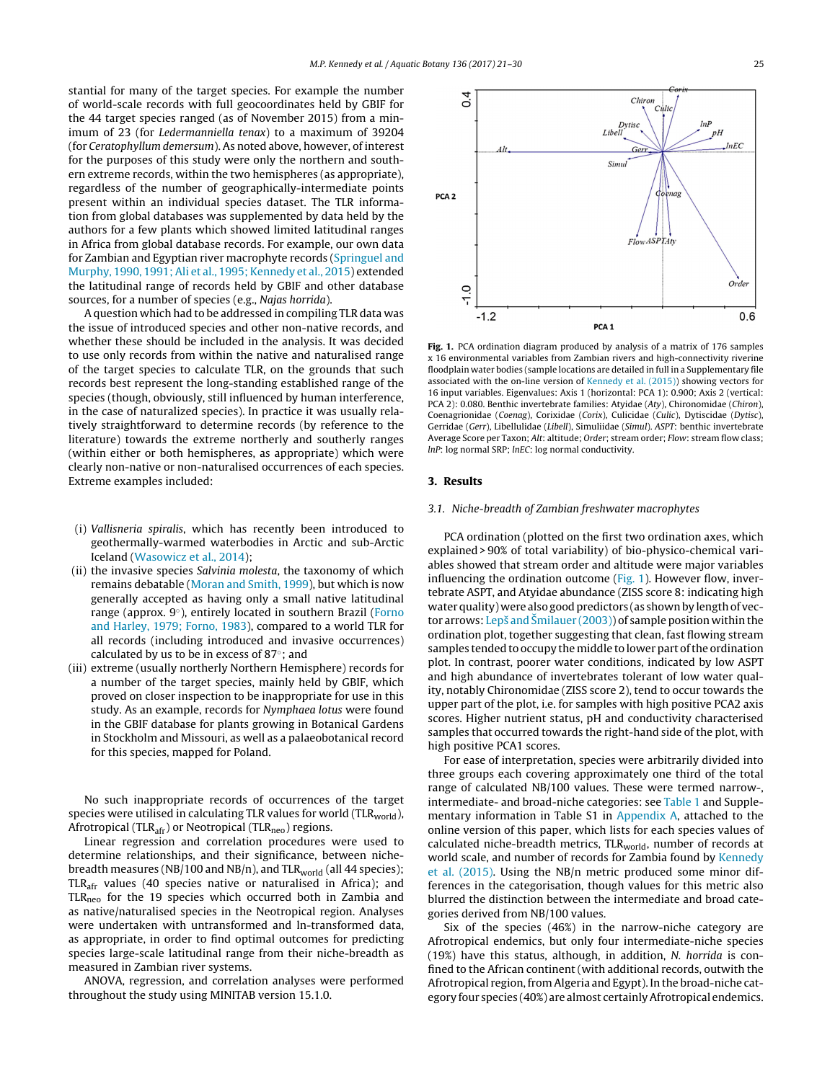stantial for many of the target species. For example the number of world-scale records with full geocoordinates held by GBIF for the 44 target species ranged (as of November 2015) from a minimum of 23 (for Ledermanniella tenax) to a maximum of 39204 (for Ceratophyllum demersum). As noted above, however, of interest for the purposes of this study were only the northern and southern extreme records, within the two hemispheres (as appropriate), regardless of the number of geographically-intermediate points present within an individual species dataset. The TLR information from global databases was supplemented by data held by the authors for a few plants which showed limited latitudinal ranges in Africa from global database records. For example, our own data for Zambian and Egyptian river macrophyte records ([Springuel and](#page-9-0) [Murphy, 1990, 1991; Ali et al., 1995; Kennedy et al., 2015\) e](#page-9-0)xtended the latitudinal range of records held by GBIF and other database sources, for a number of species (e.g., Najas horrida).

A question which had to be addressed in compiling TLR data was the issue of introduced species and other non-native records, and whether these should be included in the analysis. It was decided to use only records from within the native and naturalised range of the target species to calculate TLR, on the grounds that such records best represent the long-standing established range of the species (though, obviously, still influenced by human interference, in the case of naturalized species). In practice it was usually relatively straightforward to determine records (by reference to the literature) towards the extreme northerly and southerly ranges (within either or both hemispheres, as appropriate) which were clearly non-native or non-naturalised occurrences of each species. Extreme examples included:

- (i) Vallisneria spiralis, which has recently been introduced to geothermally-warmed waterbodies in Arctic and sub-Arctic Iceland [\(Wasowicz et al., 2014\);](#page-9-0)
- (ii) the invasive species Salvinia molesta, the taxonomy of which remains debatable [\(Moran and Smith, 1999\),](#page-8-0) but which is now generally accepted as having only a small native latitudinal range (approx. 9◦ ), entirely located in southern Brazil [\(Forno](#page-8-0) [and Harley, 1979; Forno, 1983\),](#page-8-0) compared to a world TLR for all records (including introduced and invasive occurrences) calculated by us to be in excess of 87◦ ; and
- (iii) extreme (usually northerly Northern Hemisphere) records for a number of the target species, mainly held by GBIF, which proved on closer inspection to be inappropriate for use in this study. As an example, records for Nymphaea lotus were found in the GBIF database for plants growing in Botanical Gardens in Stockholm and Missouri, as well as a palaeobotanical record for this species, mapped for Poland.

No such inappropriate records of occurrences of the target species were utilised in calculating TLR values for world (TLR $_{world}$ ), Afrotropical (TLR<sub>afr</sub>) or Neotropical (TLR<sub>neo</sub>) regions.

Linear regression and correlation procedures were used to determine relationships, and their significance, between nichebreadth measures (NB/100 and NB/n), and TLR<sub>world</sub> (all 44 species); TLR<sub>afr</sub> values (40 species native or naturalised in Africa); and TLRneo for the 19 species which occurred both in Zambia and as native/naturalised species in the Neotropical region. Analyses were undertaken with untransformed and ln-transformed data, as appropriate, in order to find optimal outcomes for predicting species large-scale latitudinal range from their niche-breadth as measured in Zambian river systems.

ANOVA, regression, and correlation analyses were performed throughout the study using MINITAB version 15.1.0.



Fig. 1. PCA ordination diagram produced by analysis of a matrix of 176 samples x 16 environmental variables from Zambian rivers and high-connectivity riverine floodplain water bodies (sample locations are detailed in full in a Supplementary file associated with the on-line version of [Kennedy et al. \(2015\)\) s](#page-8-0)howing vectors for 16 input variables. Eigenvalues: Axis 1 (horizontal: PCA 1): 0.900; Axis 2 (vertical: PCA 2): 0.080. Benthic invertebrate families: Atyidae (Aty), Chironomidae (Chiron), Coenagrionidae (Coenag), Corixidae (Corix), Culicidae (Culic), Dytiscidae (Dytisc), Gerridae (Gerr), Libellulidae (Libell), Simuliidae (Simul). ASPT: benthic invertebrate Average Score per Taxon; Alt: altitude; Order; stream order; Flow: stream flow class; lnP: log normal SRP; lnEC: log normal conductivity.

# 3. Results

## 3.1. Niche-breadth of Zambian freshwater macrophytes

PCA ordination (plotted on the first two ordination axes, which explained > 90% of total variability) of bio-physico-chemical variables showed that stream order and altitude were major variables influencing the ordination outcome (Fig. 1). However flow, invertebrate ASPT, and Atyidae abundance (ZISS score 8: indicating high water quality) were also good predictors (as shown by length of vector arrows: Lepš and  $\text{\r{Smilauer}}$  (2003)) of sample position within the ordination plot, together suggesting that clean, fast flowing stream samples tended to occupy the middle to lower part of the ordination plot. In contrast, poorer water conditions, indicated by low ASPT and high abundance of invertebrates tolerant of low water quality, notably Chironomidae (ZISS score 2), tend to occur towards the upper part of the plot, i.e. for samples with high positive PCA2 axis scores. Higher nutrient status, pH and conductivity characterised samples that occurred towards the right-hand side of the plot, with high positive PCA1 scores.

For ease of interpretation, species were arbitrarily divided into three groups each covering approximately one third of the total range of calculated NB/100 values. These were termed narrow-, intermediate- and broad-niche categories: see [Table 1](#page-2-0) and Supplementary information in Table S1 in [Appendix A,](#page-7-0) attached to the online version of this paper, which lists for each species values of calculated niche-breadth metrics, TLR<sub>world</sub>, number of records at world scale, and number of records for Zambia found by [Kennedy](#page-8-0) [et al. \(2015\).](#page-8-0) Using the NB/n metric produced some minor differences in the categorisation, though values for this metric also blurred the distinction between the intermediate and broad categories derived from NB/100 values.

Six of the species (46%) in the narrow-niche category are Afrotropical endemics, but only four intermediate-niche species (19%) have this status, although, in addition, N. horrida is confined to the African continent (with additional records, outwith the Afrotropical region, from Algeria and Egypt). In the broad-niche category four species (40%) are almost certainly Afrotropical endemics.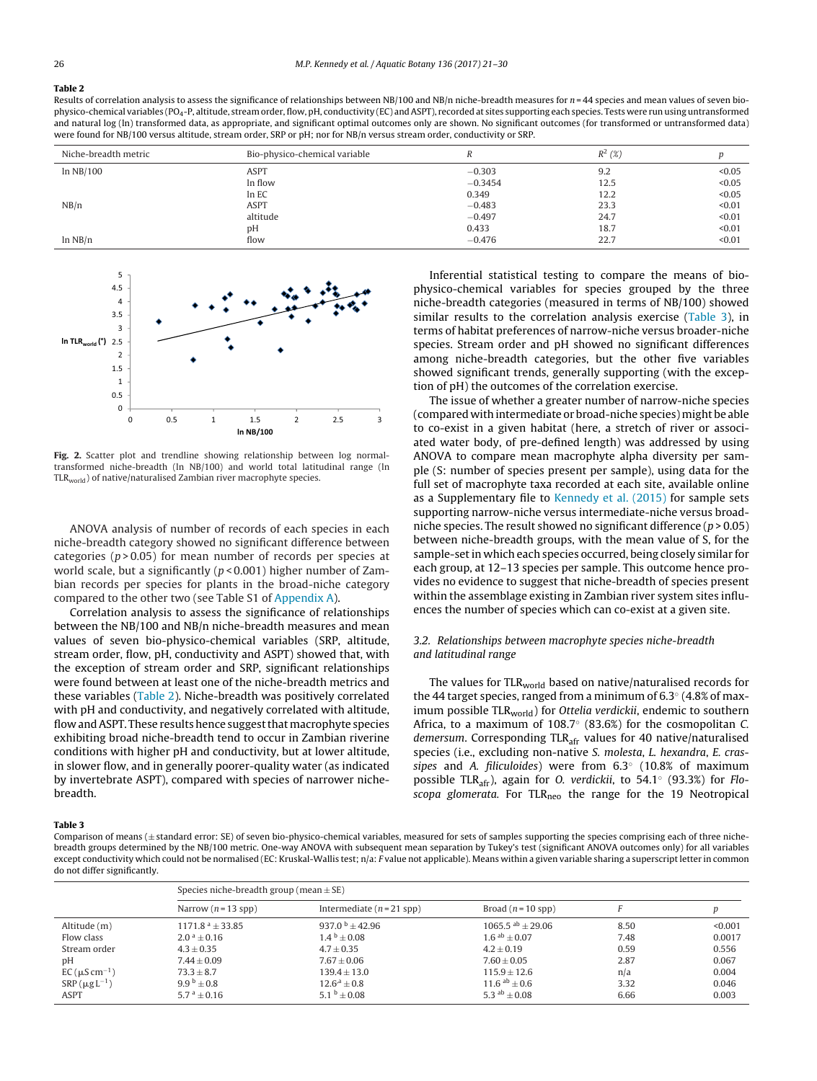# <span id="page-5-0"></span>Table 2

Results of correlation analysis to assess the significance of relationships between NB/100 and NB/n niche-breadth measures for  $n = 44$  species and mean values of seven biophysico-chemical variables (PO4-P, altitude, stream order, flow, pH, conductivity (EC) and ASPT), recorded at sites supporting each species. Tests were run using untransformed and natural log (ln) transformed data, as appropriate, and significant optimal outcomes only are shown. No significant outcomes (for transformed or untransformed data) were found for NB/100 versus altitude, stream order, SRP or pH; nor for NB/n versus stream order, conductivity or SRP.

| Niche-breadth metric | Bio-physico-chemical variable |           | $R^2$ (%) |        |
|----------------------|-------------------------------|-----------|-----------|--------|
| ln NB/100            | <b>ASPT</b>                   | $-0.303$  | 9.2       | < 0.05 |
|                      | In flow                       | $-0.3454$ | 12.5      | < 0.05 |
|                      | ln EC                         | 0.349     | 12.2      | < 0.05 |
| NB/n                 | <b>ASPT</b>                   | $-0.483$  | 23.3      | < 0.01 |
|                      | altitude                      | $-0.497$  | 24.7      | < 0.01 |
|                      | pΗ                            | 0.433     | 18.7      | < 0.01 |
| ln NB/n              | flow                          | $-0.476$  | 22.7      | < 0.01 |



Fig. 2. Scatter plot and trendline showing relationship between log normaltransformed niche-breadth (ln NB/100) and world total latitudinal range (ln TLRworld) of native/naturalised Zambian river macrophyte species.

ANOVA analysis of number of records of each species in each niche-breadth category showed no significant difference between categories ( $p > 0.05$ ) for mean number of records per species at world scale, but a significantly ( $p$  < 0.001) higher number of Zambian records per species for plants in the broad-niche category compared to the other two (see Table S1 of [Appendix A\).](#page-7-0)

Correlation analysis to assess the significance of relationships between the NB/100 and NB/n niche-breadth measures and mean values of seven bio-physico-chemical variables (SRP, altitude, stream order, flow, pH, conductivity and ASPT) showed that, with the exception of stream order and SRP, significant relationships were found between at least one of the niche-breadth metrics and these variables (Table 2). Niche-breadth was positively correlated with pH and conductivity, and negatively correlated with altitude, flow and ASPT. These results hence suggest that macrophyte species exhibiting broad niche-breadth tend to occur in Zambian riverine conditions with higher pH and conductivity, but at lower altitude, in slower flow, and in generally poorer-quality water (as indicated by invertebrate ASPT), compared with species of narrower nichebreadth.

Inferential statistical testing to compare the means of biophysico-chemical variables for species grouped by the three niche-breadth categories (measured in terms of NB/100) showed similar results to the correlation analysis exercise (Table 3), in terms of habitat preferences of narrow-niche versus broader-niche species. Stream order and pH showed no significant differences among niche-breadth categories, but the other five variables showed significant trends, generally supporting (with the exception of pH) the outcomes of the correlation exercise.

The issue of whether a greater number of narrow-niche species (compared with intermediate or broad-niche species) might be able to co-exist in a given habitat (here, a stretch of river or associated water body, of pre-defined length) was addressed by using ANOVA to compare mean macrophyte alpha diversity per sample (S: number of species present per sample), using data for the full set of macrophyte taxa recorded at each site, available online as a Supplementary file to [Kennedy et al. \(2015\)](#page-8-0) for sample sets supporting narrow-niche versus intermediate-niche versus broadniche species. The result showed no significant difference ( $p > 0.05$ ) between niche-breadth groups, with the mean value of S, for the sample-set in which each species occurred, being closely similar for each group, at 12–13 species per sample. This outcome hence provides no evidence to suggest that niche-breadth of species present within the assemblage existing in Zambian river system sites influences the number of species which can co-exist at a given site.

# 3.2. Relationships between macrophyte species niche-breadth and latitudinal range

The values for TLR<sub>world</sub> based on native/naturalised records for the 44 target species, ranged from a minimum of 6.3◦ (4.8% of maximum possible TLR<sub>world</sub>) for Ottelia verdickii, endemic to southern Africa, to a maximum of 108.7◦ (83.6%) for the cosmopolitan C. demersum. Corresponding TLR<sub>afr</sub> values for 40 native/naturalised species (i.e., excluding non-native S. molesta, L. hexandra, E. crassipes and A. filiculoides) were from  $6.3^\circ$  (10.8% of maximum possible TLR<sub>afr</sub>), again for O. verdickii, to 54.1° (93.3%) for Floscopa glomerata. For TLR<sub>neo</sub> the range for the 19 Neotropical

#### Table 3

Comparison of means (± standard error: SE) of seven bio-physico-chemical variables, measured for sets of samples supporting the species comprising each of three nichebreadth groups determined by the NB/100 metric. One-way ANOVA with subsequent mean separation by Tukey's test (significant ANOVA outcomes only) for all variables except conductivity which could not be normalised (EC: Kruskal-Wallis test; n/a: F value not applicable). Means within a given variable sharing a superscript letter in common do not differ significantly.

|                                 | Species niche-breadth group (mean $\pm$ SE) |                           |                      |      |         |
|---------------------------------|---------------------------------------------|---------------------------|----------------------|------|---------|
|                                 | Narrow $(n=13$ spp)                         | Intermediate $(n=21$ spp) | Broad $(n=10$ spp)   |      |         |
| Altitude (m)                    | $1171.8^{\text{a}} + 33.85^{\text{c}}$      | $937.0^{b} + 42.96$       | $1065.5$ ab $+29.06$ | 8.50 | < 0.001 |
| Flow class                      | $2.0^{\text{a}} + 0.16$                     | $1.4^{\mathrm{b}} + 0.08$ | $1.6^{ab} + 0.07$    | 7.48 | 0.0017  |
| Stream order                    | $4.3 + 0.35$                                | $4.7 \pm 0.35$            | $4.2 + 0.19$         | 0.59 | 0.556   |
| рH                              | $7.44 \pm 0.09$                             | $7.67 + 0.06$             | $7.60 \pm 0.05$      | 2.87 | 0.067   |
| EC ( $\mu$ S cm <sup>-1</sup> ) | $73.3 \pm 8.7$                              | $139.4 + 13.0$            | $115.9 + 12.6$       | n/a  | 0.004   |
| $SRP(\mu g L^{-1})$             | 9.9 $\frac{6}{2}$ ± 0.8                     | $12.6^{a} + 0.8$          | $11.6^{ab} + 0.6$    | 3.32 | 0.046   |
| <b>ASPT</b>                     | $5.7^{\text{a}} + 0.16^{\text{c}}$          | $5.1^{\mathrm{b}} + 0.08$ | 5.3 $ab + 0.08$      | 6.66 | 0.003   |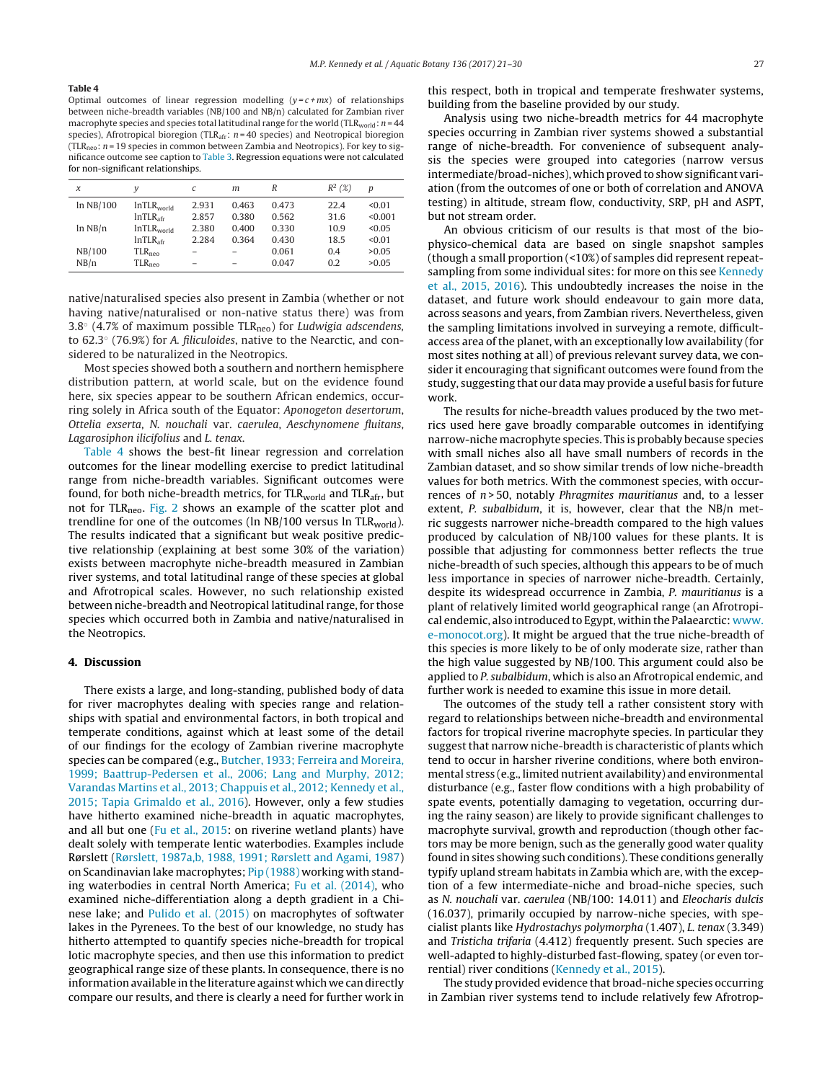## <span id="page-6-0"></span>Table 4

Optimal outcomes of linear regression modelling  $(y = c + mx)$  of relationships between niche-breadth variables (NB/100 and NB/n) calculated for Zambian river macrophyte species and species total latitudinal range for the world (TLR<sub>world</sub>:  $n = 44$ species), Afrotropical bioregion (TLR<sub>afr</sub>:  $n = 40$  species) and Neotropical bioregion  $(TLR_{\text{rec}}: n = 19$  species in common between Zambia and Neotropics). For key to significance outcome see caption to [Table 3. R](#page-5-0)egression equations were not calculated for non-significant relationships.

| X         | ν                      | C     | m     | R     | $R^2$ (%) | p       |
|-----------|------------------------|-------|-------|-------|-----------|---------|
| In NB/100 | InTLR <sub>world</sub> | 2.931 | 0.463 | 0.473 | 22.4      | < 0.01  |
|           | InTLR <sub>afr</sub>   | 2.857 | 0.380 | 0.562 | 31.6      | < 0.001 |
| ln NB/n   | InTLR <sub>world</sub> | 2.380 | 0.400 | 0.330 | 10.9      | < 0.05  |
|           | InTLR <sub>afr</sub>   | 2.284 | 0.364 | 0.430 | 18.5      | < 0.01  |
| NB/100    | TLR <sub>neo</sub>     |       |       | 0.061 | 0.4       | >0.05   |
| NB/n      | TLR <sub>neo</sub>     |       |       | 0.047 | 0.2       | >0.05   |

native/naturalised species also present in Zambia (whether or not having native/naturalised or non-native status there) was from 3.8 $\textdegree$  (4.7% of maximum possible TLR<sub>neo</sub>) for Ludwigia adscendens, to 62.3° (76.9%) for A. filiculoides, native to the Nearctic, and considered to be naturalized in the Neotropics.

Most species showed both a southern and northern hemisphere distribution pattern, at world scale, but on the evidence found here, six species appear to be southern African endemics, occurring solely in Africa south of the Equator: Aponogeton desertorum, Ottelia exserta, N. nouchali var. caerulea, Aeschynomene fluitans, Lagarosiphon ilicifolius and L. tenax.

Table 4 shows the best-fit linear regression and correlation outcomes for the linear modelling exercise to predict latitudinal range from niche-breadth variables. Significant outcomes were found, for both niche-breadth metrics, for  $TLR_{world}$  and  $TLR_{afr}$ , but not for TLRneo. [Fig. 2](#page-5-0) shows an example of the scatter plot and trendline for one of the outcomes (ln NB/100 versus ln TLR $_{world}$ ). The results indicated that a significant but weak positive predictive relationship (explaining at best some 30% of the variation) exists between macrophyte niche-breadth measured in Zambian river systems, and total latitudinal range of these species at global and Afrotropical scales. However, no such relationship existed between niche-breadth and Neotropical latitudinal range, for those species which occurred both in Zambia and native/naturalised in the Neotropics.

## 4. Discussion

There exists a large, and long-standing, published body of data for river macrophytes dealing with species range and relationships with spatial and environmental factors, in both tropical and temperate conditions, against which at least some of the detail of our findings for the ecology of Zambian riverine macrophyte species can be compared (e.g., [Butcher, 1933; Ferreira and Moreira,](#page-8-0) [1999; Baattrup-Pedersen et al., 2006; Lang and Murphy, 2012;](#page-8-0) [Varandas Martins et al., 2013; Chappuis et al., 2012; Kennedy et al.,](#page-8-0) [2015; Tapia Grimaldo et al., 2016\).](#page-8-0) However, only a few studies have hitherto examined niche-breadth in aquatic macrophytes, and all but one [\(Fu et al., 2015:](#page-8-0) on riverine wetland plants) have dealt solely with temperate lentic waterbodies. Examples include Rørslett [\(Rørslett, 1987a,b, 1988, 1991; Rørslett and Agami, 1987\)](#page-8-0) on Scandinavian lake macrophytes; [Pip \(1988\)](#page-8-0) working with standing waterbodies in central North America; [Fu et al. \(2014\),](#page-8-0) who examined niche-differentiation along a depth gradient in a Chinese lake; and [Pulido et al. \(2015\)](#page-8-0) on macrophytes of softwater lakes in the Pyrenees. To the best of our knowledge, no study has hitherto attempted to quantify species niche-breadth for tropical lotic macrophyte species, and then use this information to predict geographical range size of these plants. In consequence, there is no information available in the literature against which we can directly compare our results, and there is clearly a need for further work in

this respect, both in tropical and temperate freshwater systems, building from the baseline provided by our study.

Analysis using two niche-breadth metrics for 44 macrophyte species occurring in Zambian river systems showed a substantial range of niche-breadth. For convenience of subsequent analysis the species were grouped into categories (narrow versus intermediate/broad-niches), which proved to show significant variation (from the outcomes of one or both of correlation and ANOVA testing) in altitude, stream flow, conductivity, SRP, pH and ASPT, but not stream order.

An obvious criticism of our results is that most of the biophysico-chemical data are based on single snapshot samples (though a small proportion (<10%) of samples did represent repeat-sampling from some individual sites: for more on this see [Kennedy](#page-8-0) [et al., 2015, 2016\).](#page-8-0) This undoubtedly increases the noise in the dataset, and future work should endeavour to gain more data, across seasons and years, from Zambian rivers. Nevertheless, given the sampling limitations involved in surveying a remote, difficultaccess area of the planet, with an exceptionally low availability (for most sites nothing at all) of previous relevant survey data, we consider it encouraging that significant outcomes were found from the study, suggesting that our data may provide a useful basis for future work.

The results for niche-breadth values produced by the two metrics used here gave broadly comparable outcomes in identifying narrow-niche macrophyte species. This is probably because species with small niches also all have small numbers of records in the Zambian dataset, and so show similar trends of low niche-breadth values for both metrics. With the commonest species, with occurrences of  $n > 50$ , notably *Phragmites mauritianus* and, to a lesser extent, P. subalbidum, it is, however, clear that the NB/n metric suggests narrower niche-breadth compared to the high values produced by calculation of NB/100 values for these plants. It is possible that adjusting for commonness better reflects the true niche-breadth of such species, although this appears to be of much less importance in species of narrower niche-breadth. Certainly, despite its widespread occurrence in Zambia, P. mauritianus is a plant of relatively limited world geographical range (an Afrotropical endemic, also introduced to Egypt, within the Palaearctic: [www.](http://www.e-monocot.org) [e-monocot.org](http://www.e-monocot.org)). It might be argued that the true niche-breadth of this species is more likely to be of only moderate size, rather than the high value suggested by NB/100. This argument could also be applied to P. subalbidum, which is also an Afrotropical endemic, and further work is needed to examine this issue in more detail.

The outcomes of the study tell a rather consistent story with regard to relationships between niche-breadth and environmental factors for tropical riverine macrophyte species. In particular they suggest that narrow niche-breadth is characteristic of plants which tend to occur in harsher riverine conditions, where both environmental stress (e.g., limited nutrient availability) and environmental disturbance (e.g., faster flow conditions with a high probability of spate events, potentially damaging to vegetation, occurring during the rainy season) are likely to provide significant challenges to macrophyte survival, growth and reproduction (though other factors may be more benign, such as the generally good water quality found in sites showing such conditions). These conditions generally typify upland stream habitats in Zambia which are, with the exception of a few intermediate-niche and broad-niche species, such as N. nouchali var. caerulea (NB/100: 14.011) and Eleocharis dulcis (16.037), primarily occupied by narrow-niche species, with specialist plants like Hydrostachys polymorpha (1.407), L. tenax (3.349) and Tristicha trifaria (4.412) frequently present. Such species are well-adapted to highly-disturbed fast-flowing, spatey (or even torrential) river conditions ([Kennedy et al., 2015\).](#page-8-0)

The study provided evidence that broad-niche species occurring in Zambian river systems tend to include relatively few Afrotrop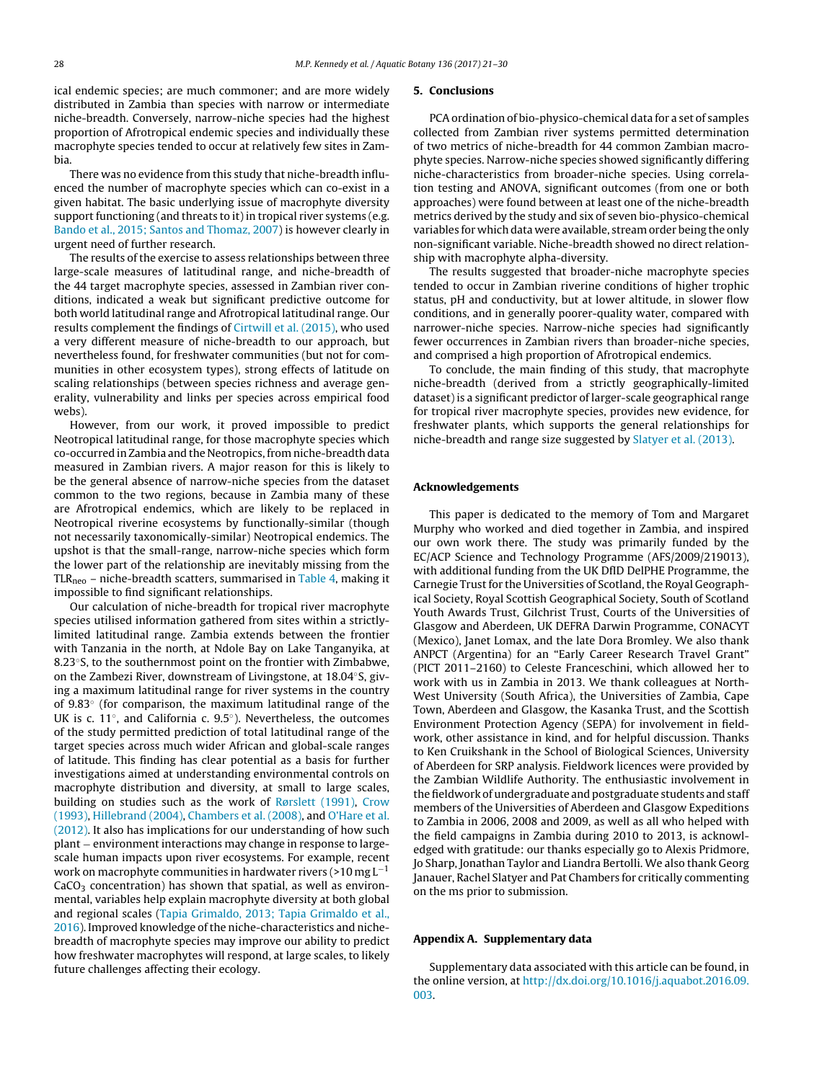<span id="page-7-0"></span>ical endemic species; are much commoner; and are more widely distributed in Zambia than species with narrow or intermediate niche-breadth. Conversely, narrow-niche species had the highest proportion of Afrotropical endemic species and individually these macrophyte species tended to occur at relatively few sites in Zambia.

There was no evidence from this study that niche-breadth influenced the number of macrophyte species which can co-exist in a given habitat. The basic underlying issue of macrophyte diversity support functioning (and threats to it) in tropical river systems (e.g. [Bando et al., 2015; Santos and Thomaz, 2007\)](#page-8-0) is however clearly in urgent need of further research.

The results of the exercise to assess relationships between three large-scale measures of latitudinal range, and niche-breadth of the 44 target macrophyte species, assessed in Zambian river conditions, indicated a weak but significant predictive outcome for both world latitudinal range and Afrotropical latitudinal range. Our results complement the findings of [Cirtwill et al. \(2015\), w](#page-8-0)ho used a very different measure of niche-breadth to our approach, but nevertheless found, for freshwater communities (but not for communities in other ecosystem types), strong effects of latitude on scaling relationships (between species richness and average generality, vulnerability and links per species across empirical food webs).

However, from our work, it proved impossible to predict Neotropical latitudinal range, for those macrophyte species which co-occurred in Zambia and the Neotropics, from niche-breadth data measured in Zambian rivers. A major reason for this is likely to be the general absence of narrow-niche species from the dataset common to the two regions, because in Zambia many of these are Afrotropical endemics, which are likely to be replaced in Neotropical riverine ecosystems by functionally-similar (though not necessarily taxonomically-similar) Neotropical endemics. The upshot is that the small-range, narrow-niche species which form the lower part of the relationship are inevitably missing from the TLRneo – niche-breadth scatters, summarised in [Table 4, m](#page-6-0)aking it impossible to find significant relationships.

Our calculation of niche-breadth for tropical river macrophyte species utilised information gathered from sites within a strictlylimited latitudinal range. Zambia extends between the frontier with Tanzania in the north, at Ndole Bay on Lake Tanganyika, at 8.23<sup>°</sup>S, to the southernmost point on the frontier with Zimbabwe, on the Zambezi River, downstream of Livingstone, at 18.04◦S, giving a maximum latitudinal range for river systems in the country of 9.83° (for comparison, the maximum latitudinal range of the UK is c. 11°, and California c. 9.5°). Nevertheless, the outcomes of the study permitted prediction of total latitudinal range of the target species across much wider African and global-scale ranges of latitude. This finding has clear potential as a basis for further investigations aimed at understanding environmental controls on macrophyte distribution and diversity, at small to large scales, building on studies such as the work of [Rørslett \(1991\),](#page-9-0) [Crow](#page-8-0) [\(1993\),](#page-8-0) [Hillebrand \(2004\),](#page-8-0) [Chambers et al. \(2008\), a](#page-8-0)nd [O'Hare et al.](#page-8-0) [\(2012\). I](#page-8-0)t also has implications for our understanding of how such plant − environment interactions may change in response to largescale human impacts upon river ecosystems. For example, recent work on macrophyte communities in hardwater rivers (>10 mg  $L^{-1}$  $CaCO<sub>3</sub>$  concentration) has shown that spatial, as well as environmental, variables help explain macrophyte diversity at both global and regional scales [\(Tapia Grimaldo, 2013; Tapia Grimaldo et al.,](#page-9-0) [2016\).](#page-9-0) Improved knowledge of the niche-characteristics and nichebreadth of macrophyte species may improve our ability to predict how freshwater macrophytes will respond, at large scales, to likely future challenges affecting their ecology.

## 5. Conclusions

PCA ordination of bio-physico-chemical data for a set of samples collected from Zambian river systems permitted determination of two metrics of niche-breadth for 44 common Zambian macrophyte species. Narrow-niche species showed significantly differing niche-characteristics from broader-niche species. Using correlation testing and ANOVA, significant outcomes (from one or both approaches) were found between at least one of the niche-breadth metrics derived by the study and six of seven bio-physico-chemical variables for which data were available, stream order being the only non-significant variable. Niche-breadth showed no direct relationship with macrophyte alpha-diversity.

The results suggested that broader-niche macrophyte species tended to occur in Zambian riverine conditions of higher trophic status, pH and conductivity, but at lower altitude, in slower flow conditions, and in generally poorer-quality water, compared with narrower-niche species. Narrow-niche species had significantly fewer occurrences in Zambian rivers than broader-niche species, and comprised a high proportion of Afrotropical endemics.

To conclude, the main finding of this study, that macrophyte niche-breadth (derived from a strictly geographically-limited dataset) is a significant predictor of larger-scale geographical range for tropical river macrophyte species, provides new evidence, for freshwater plants, which supports the general relationships for niche-breadth and range size suggested by [Slatyer et al. \(2013\).](#page-9-0)

## Acknowledgements

This paper is dedicated to the memory of Tom and Margaret Murphy who worked and died together in Zambia, and inspired our own work there. The study was primarily funded by the EC/ACP Science and Technology Programme (AFS/2009/219013), with additional funding from the UK DfID DelPHE Programme, the Carnegie Trust for the Universities of Scotland, the Royal Geographical Society, Royal Scottish Geographical Society, South of Scotland Youth Awards Trust, Gilchrist Trust, Courts of the Universities of Glasgow and Aberdeen, UK DEFRA Darwin Programme, CONACYT (Mexico), Janet Lomax, and the late Dora Bromley. We also thank ANPCT (Argentina) for an "Early Career Research Travel Grant" (PICT 2011–2160) to Celeste Franceschini, which allowed her to work with us in Zambia in 2013. We thank colleagues at North-West University (South Africa), the Universities of Zambia, Cape Town, Aberdeen and Glasgow, the Kasanka Trust, and the Scottish Environment Protection Agency (SEPA) for involvement in fieldwork, other assistance in kind, and for helpful discussion. Thanks to Ken Cruikshank in the School of Biological Sciences, University of Aberdeen for SRP analysis. Fieldwork licences were provided by the Zambian Wildlife Authority. The enthusiastic involvement in the fieldwork of undergraduate and postgraduate students and staff members of the Universities of Aberdeen and Glasgow Expeditions to Zambia in 2006, 2008 and 2009, as well as all who helped with the field campaigns in Zambia during 2010 to 2013, is acknowledged with gratitude: our thanks especially go to Alexis Pridmore, Jo Sharp, Jonathan Taylor and Liandra Bertolli. We also thank Georg Janauer, Rachel Slatyer and Pat Chambers for critically commenting on the ms prior to submission.

# Appendix A. Supplementary data

Supplementary data associated with this article can be found, in the online version, at [http://dx.doi.org/10.1016/j.aquabot.2016.09.](http://dx.doi.org/10.1016/j.aquabot.2016.09.003) [003.](http://dx.doi.org/10.1016/j.aquabot.2016.09.003)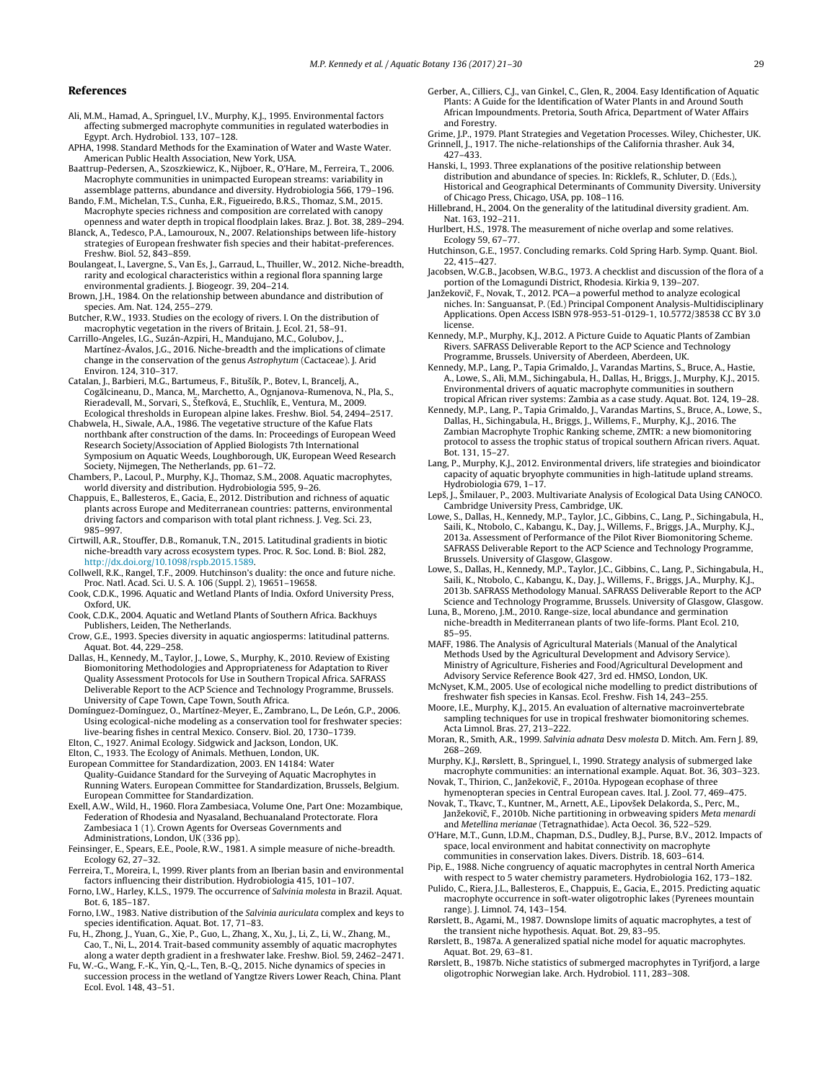### <span id="page-8-0"></span>References

- Ali, M.M., Hamad, A., Springuel, I.V., Murphy, K.J., 1995. Environmental factors affecting submerged macrophyte communities in regulated waterbodies in Egypt. Arch. Hydrobiol. 133, 107–128.
- APHA, 1998. Standard Methods for the Examination of Water and Waste Water. American Public Health Association, New York, USA.
- Baattrup-Pedersen, A., Szoszkiewicz, K., Nijboer, R., O'Hare, M., Ferreira, T., 2006. Macrophyte communities in unimpacted European streams: variability in assemblage patterns, abundance and diversity. Hydrobiologia 566, 179–196.
- Bando, F.M., Michelan, T.S., Cunha, E.R., Figueiredo, B.R.S., Thomaz, S.M., 2015. Macrophyte species richness and composition are correlated with canopy openness and water depth in tropical floodplain lakes. Braz. J. Bot. 38, 289–294.
- Blanck, A., Tedesco, P.A., Lamouroux, N., 2007. Relationships between life-history strategies of European freshwater fish species and their habitat-preferences. Freshw. Biol. 52, 843–859.
- Boulangeat, I., Lavergne, S., Van Es, J., Garraud, L., Thuiller, W., 2012. Niche-breadth, rarity and ecological characteristics within a regional flora spanning large environmental gradients. J. Biogeogr. 39, 204–214.
- Brown, J.H., 1984. On the relationship between abundance and distribution of species. Am. Nat. 124, 255–279.
- Butcher, R.W., 1933. Studies on the ecology of rivers. I. On the distribution of macrophytic vegetation in the rivers of Britain. J. Ecol. 21, 58–91.
- Carrillo-Angeles, I.G., Suzán-Azpiri, H., Mandujano, M.C., Golubov, J., Martínez-Ávalos, J.G., 2016. Niche-breadth and the implications of climate change in the conservation of the genus Astrophytum (Cactaceae). J. Arid Environ. 124, 310–317.
- Catalan, J., Barbieri, M.G., Bartumeus, F., Bitušík, P., Botev, I., Brancelj, A., Cogalcineanu, D., Manca, M., Marchetto, A., Ognjanova-Rumenova, N., Pla, S., ˘ Rieradevall, M., Sorvari, S., Štefková, E., Stuchlík, E., Ventura, M., 2009. Ecological thresholds in European alpine lakes. Freshw. Biol. 54, 2494–2517.
- Chabwela, H., Siwale, A.A., 1986. The vegetative structure of the Kafue Flats northbank after construction of the dams. In: Proceedings of European Weed Research Society/Association of Applied Biologists 7th International Symposium on Aquatic Weeds, Loughborough, UK, European Weed Research Society, Nijmegen, The Netherlands, pp. 61–72.
- Chambers, P., Lacoul, P., Murphy, K.J., Thomaz, S.M., 2008. Aquatic macrophytes, world diversity and distribution. Hydrobiologia 595, 9–26.
- Chappuis, E., Ballesteros, E., Gacia, E., 2012. Distribution and richness of aquatic plants across Europe and Mediterranean countries: patterns, environmental driving factors and comparison with total plant richness. J. Veg. Sci. 23, 985–997.
- Cirtwill, A.R., Stouffer, D.B., Romanuk, T.N., 2015. Latitudinal gradients in biotic niche-breadth vary across ecosystem types. Proc. R. Soc. Lond. B: Biol. 282, [http://dx.doi.org/10.1098/rspb.2015.1589.](dx.doi.org/10.1098/rspb.2015.1589)
- Collwell, R.K., Rangel, T.F., 2009. Hutchinson's duality: the once and future niche. Proc. Natl. Acad. Sci. U. S. A. 106 (Suppl. 2), 19651–19658.
- Cook, C.D.K., 1996. Aquatic and Wetland Plants of India. Oxford University Press, Oxford, UK.
- Cook, C.D.K., 2004. Aquatic and Wetland Plants of Southern Africa. Backhuys Publishers, Leiden, The Netherlands.
- Crow, G.E., 1993. Species diversity in aquatic angiosperms: latitudinal patterns. Aquat. Bot. 44, 229–258.
- Dallas, H., Kennedy, M., Taylor, J., Lowe, S., Murphy, K., 2010. Review of Existing Biomonitoring Methodologies and Appropriateness for Adaptation to River Quality Assessment Protocols for Use in Southern Tropical Africa. SAFRASS Deliverable Report to the ACP Science and Technology Programme, Brussels. University of Cape Town, Cape Town, South Africa.
- Domínguez-Domínguez, O., Martínez-Meyer, E., Zambrano, L., De León, G.P., 2006. Using ecological-niche modeling as a conservation tool for freshwater species: live-bearing fishes in central Mexico. Conserv. Biol. 20, 1730–1739.
- Elton, C., 1927. Animal Ecology. Sidgwick and Jackson, London, UK.
- Elton, C., 1933. The Ecology of Animals. Methuen, London, UK.
- European Committee for Standardization, 2003. EN 14184: Water Quality-Guidance Standard for the Surveying of Aquatic Macrophytes in Running Waters. European Committee for Standardization, Brussels, Belgium. European Committee for Standardization.
- Exell, A.W., Wild, H., 1960. Flora Zambesiaca, Volume One, Part One: Mozambique, Federation of Rhodesia and Nyasaland, Bechuanaland Protectorate. Flora Zambesiaca 1 (1). Crown Agents for Overseas Governments and Administrations, London, UK (336 pp).
- Feinsinger, E., Spears, E.E., Poole, R.W., 1981. A simple measure of niche-breadth. Ecology 62, 27–32.
- Ferreira, T., Moreira, I., 1999. River plants from an Iberian basin and environmental factors influencing their distribution. Hydrobiologia 415, 101–107.
- Forno, I.W., Harley, K.L.S., 1979. The occurrence of Salvinia molesta in Brazil. Aquat. Bot. 6, 185–187.
- Forno, I.W., 1983. Native distribution of the Salvinia auriculata complex and keys to species identification. Aquat. Bot. 17, 71–83.
- Fu, H., Zhong, J., Yuan, G., Xie, P., Guo, L., Zhang, X., Xu, J., Li, Z., Li, W., Zhang, M., Cao, T., Ni, L., 2014. Trait-based community assembly of aquatic macrophytes along a water depth gradient in a freshwater lake. Freshw. Biol. 59, 2462–2471.
- Fu, W.-G., Wang, F.-K., Yin, Q.-L., Ten, B.-Q., 2015. Niche dynamics of species in succession process in the wetland of Yangtze Rivers Lower Reach, China. Plant Ecol. Evol. 148, 43–51.
- Gerber, A., Cilliers, C.J., van Ginkel, C., Glen, R., 2004. Easy Identification of Aquatic Plants: A Guide for the Identification of Water Plants in and Around South African Impoundments. Pretoria, South Africa, Department of Water Affairs and Forestry.
- Grime, J.P., 1979. Plant Strategies and Vegetation Processes. Wiley, Chichester, UK. Grinnell, J., 1917. The niche-relationships of the California thrasher. Auk 34,
- 427–433. Hanski, I., 1993. Three explanations of the positive relationship between distribution and abundance of species. In: Ricklefs, R., Schluter, D. (Eds.), Historical and Geographical Determinants of Community Diversity. University
- of Chicago Press, Chicago, USA, pp. 108–116. Hillebrand, H., 2004. On the generality of the latitudinal diversity gradient. Am. Nat. 163, 192–211.
- Hurlbert, H.S., 1978. The measurement of niche overlap and some relatives. Ecology 59, 67–77.
- Hutchinson, G.E., 1957. Concluding remarks. Cold Spring Harb. Symp. Quant. Biol. 22, 415–427.
- Jacobsen, W.G.B., Jacobsen, W.B.G., 1973. A checklist and discussion of the flora of a portion of the Lomagundi District, Rhodesia. Kirkia 9, 139–207.
- Janžekovič, F., Novak, T., 2012. PCA-a powerful method to analyze ecological niches. In: Sanguansat, P. (Ed.) Principal Component Analysis-Multidisciplinary Applications. Open Access ISBN 978-953-51-0129-1, 10.5772/38538 CC BY 3.0 license.
- Kennedy, M.P., Murphy, K.J., 2012. A Picture Guide to Aquatic Plants of Zambian Rivers. SAFRASS Deliverable Report to the ACP Science and Technology Programme, Brussels. University of Aberdeen, Aberdeen, UK.
- Kennedy, M.P., Lang, P., Tapia Grimaldo, J., Varandas Martins, S., Bruce, A., Hastie, A., Lowe, S., Ali, M.M., Sichingabula, H., Dallas, H., Briggs, J., Murphy, K.J., 2015. Environmental drivers of aquatic macrophyte communities in southern tropical African river systems: Zambia as a case study. Aquat. Bot. 124, 19–28.
- Kennedy, M.P., Lang, P., Tapia Grimaldo, J., Varandas Martins, S., Bruce, A., Lowe, S., Dallas, H., Sichingabula, H., Briggs, J., Willems, F., Murphy, K.J., 2016. The Zambian Macrophyte Trophic Ranking scheme, ZMTR: a new biomonitoring protocol to assess the trophic status of tropical southern African rivers. Aquat. Bot. 131, 15–27.
- Lang, P., Murphy, K.J., 2012. Environmental drivers, life strategies and bioindicator capacity of aquatic bryophyte communities in high-latitude upland streams. Hydrobiologia 679, 1–17.
- Lepš, J., Šmilauer, P., 2003. Multivariate Analysis of Ecological Data Using CANOCO. Cambridge University Press, Cambridge, UK.
- Lowe, S., Dallas, H., Kennedy, M.P., Taylor, J.C., Gibbins, C., Lang, P., Sichingabula, H., Saili, K., Ntobolo, C., Kabangu, K., Day, J., Willems, F., Briggs, J.A., Murphy, K.J., 2013a. Assessment of Performance of the Pilot River Biomonitoring Scheme. SAFRASS Deliverable Report to the ACP Science and Technology Programme, Brussels. University of Glasgow, Glasgow.
- Lowe, S., Dallas, H., Kennedy, M.P., Taylor, J.C., Gibbins, C., Lang, P., Sichingabula, H., Saili, K., Ntobolo, C., Kabangu, K., Day, J., Willems, F., Briggs, J.A., Murphy, K.J., 2013b. SAFRASS Methodology Manual. SAFRASS Deliverable Report to the ACP Science and Technology Programme, Brussels. University of Glasgow, Glasgow.
- Luna, B., Moreno, J.M., 2010. Range-size, local abundance and germination niche-breadth in Mediterranean plants of two life-forms. Plant Ecol. 210, 85–95.
- MAFF, 1986. The Analysis of Agricultural Materials (Manual of the Analytical Methods Used by the Agricultural Development and Advisory Service). Ministry of Agriculture, Fisheries and Food/Agricultural Development and Advisory Service Reference Book 427, 3rd ed. HMSO, London, UK.
- McNyset, K.M., 2005. Use of ecological niche modelling to predict distributions of freshwater fish species in Kansas. Ecol. Freshw. Fish 14, 243–255.
- Moore, I.E., Murphy, K.J., 2015. An evaluation of alternative macroinvertebrate sampling techniques for use in tropical freshwater biomonitoring schemes. Acta Limnol. Bras. 27, 213–222.
- Moran, R., Smith, A.R., 1999. Salvinia adnata Desv molesta D. Mitch. Am. Fern J. 89, 268–269.
- Murphy, K.J., Rørslett, B., Springuel, I., 1990. Strategy analysis of submerged lake macrophyte communities: an international example. Aquat. Bot. 36, 303–323.
- Novak, T., Thirion, C., Janžekovič, F., 2010a. Hypogean ecophase of three hymenopteran species in Central European caves. Ital. J. Zool. 77, 469–475.
- Novak, T., Tkavc, T., Kuntner, M., Arnett, A.E., Lipovšek Delakorda, S., Perc, M. Janžekovič, F., 2010b. Niche partitioning in orbweaving spiders Meta menardi and Metellina merianae (Tetragnathidae). Acta Oecol. 36, 522–529.
- O'Hare, M.T., Gunn, I.D.M., Chapman, D.S., Dudley, B.J., Purse, B.V., 2012. Impacts of space, local environment and habitat connectivity on macrophyte communities in conservation lakes. Divers. Distrib. 18, 603–614.
- Pip, E., 1988. Niche congruency of aquatic macrophytes in central North America with respect to 5 water chemistry parameters. Hydrobiologia 162, 173–182.
- Pulido, C., Riera, J.L., Ballesteros, E., Chappuis, E., Gacia, E., 2015. Predicting aquatic macrophyte occurrence in soft-water oligotrophic lakes (Pyrenees mountain range). J. Limnol. 74, 143–154.
- Rørslett, B., Agami, M., 1987. Downslope limits of aquatic macrophytes, a test of the transient niche hypothesis. Aquat. Bot. 29, 83–95.
- Rørslett, B., 1987a. A generalized spatial niche model for aquatic macrophytes. Aquat. Bot. 29, 63–81.
- Rørslett, B., 1987b. Niche statistics of submerged macrophytes in Tyrifjord, a large oligotrophic Norwegian lake. Arch. Hydrobiol. 111, 283–308.